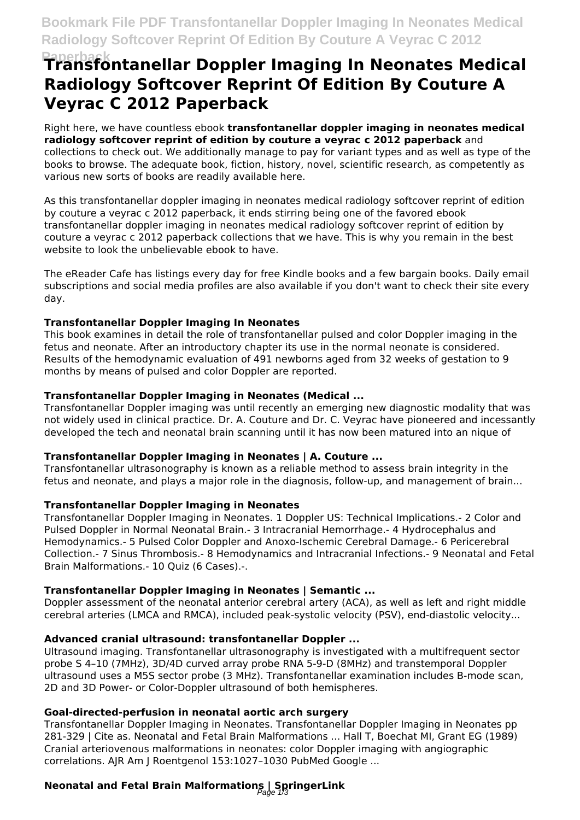# **Transfontanellar Doppler Imaging In Neonates Medical Radiology Softcover Reprint Of Edition By Couture A Veyrac C 2012 Paperback**

Right here, we have countless ebook **transfontanellar doppler imaging in neonates medical radiology softcover reprint of edition by couture a veyrac c 2012 paperback** and collections to check out. We additionally manage to pay for variant types and as well as type of the books to browse. The adequate book, fiction, history, novel, scientific research, as competently as various new sorts of books are readily available here.

As this transfontanellar doppler imaging in neonates medical radiology softcover reprint of edition by couture a veyrac c 2012 paperback, it ends stirring being one of the favored ebook transfontanellar doppler imaging in neonates medical radiology softcover reprint of edition by couture a veyrac c 2012 paperback collections that we have. This is why you remain in the best website to look the unbelievable ebook to have.

The eReader Cafe has listings every day for free Kindle books and a few bargain books. Daily email subscriptions and social media profiles are also available if you don't want to check their site every day.

#### **Transfontanellar Doppler Imaging In Neonates**

This book examines in detail the role of transfontanellar pulsed and color Doppler imaging in the fetus and neonate. After an introductory chapter its use in the normal neonate is considered. Results of the hemodynamic evaluation of 491 newborns aged from 32 weeks of gestation to 9 months by means of pulsed and color Doppler are reported.

#### **Transfontanellar Doppler Imaging in Neonates (Medical ...**

Transfontanellar Doppler imaging was until recently an emerging new diagnostic modality that was not widely used in clinical practice. Dr. A. Couture and Dr. C. Veyrac have pioneered and incessantly developed the tech and neonatal brain scanning until it has now been matured into an nique of

#### **Transfontanellar Doppler Imaging in Neonates | A. Couture ...**

Transfontanellar ultrasonography is known as a reliable method to assess brain integrity in the fetus and neonate, and plays a major role in the diagnosis, follow-up, and management of brain...

#### **Transfontanellar Doppler Imaging in Neonates**

Transfontanellar Doppler Imaging in Neonates. 1 Doppler US: Technical Implications.- 2 Color and Pulsed Doppler in Normal Neonatal Brain.- 3 Intracranial Hemorrhage.- 4 Hydrocephalus and Hemodynamics.- 5 Pulsed Color Doppler and Anoxo-Ischemic Cerebral Damage.- 6 Pericerebral Collection.- 7 Sinus Thrombosis.- 8 Hemodynamics and Intracranial Infections.- 9 Neonatal and Fetal Brain Malformations.- 10 Quiz (6 Cases).-.

#### **Transfontanellar Doppler Imaging in Neonates | Semantic ...**

Doppler assessment of the neonatal anterior cerebral artery (ACA), as well as left and right middle cerebral arteries (LMCA and RMCA), included peak-systolic velocity (PSV), end-diastolic velocity...

### **Advanced cranial ultrasound: transfontanellar Doppler ...**

Ultrasound imaging. Transfontanellar ultrasonography is investigated with a multifrequent sector probe S 4–10 (7MHz), 3D/4D curved array probe RNA 5-9-D (8MHz) and transtemporal Doppler ultrasound uses a M5S sector probe (3 MHz). Transfontanellar examination includes B-mode scan, 2D and 3D Power- or Color-Doppler ultrasound of both hemispheres.

#### **Goal-directed-perfusion in neonatal aortic arch surgery**

Transfontanellar Doppler Imaging in Neonates. Transfontanellar Doppler Imaging in Neonates pp 281-329 | Cite as. Neonatal and Fetal Brain Malformations ... Hall T, Boechat MI, Grant EG (1989) Cranial arteriovenous malformations in neonates: color Doppler imaging with angiographic correlations. AJR Am J Roentgenol 153:1027–1030 PubMed Google ...

# **Neonatal and Fetal Brain Malformations | SpringerLink** Page 1/3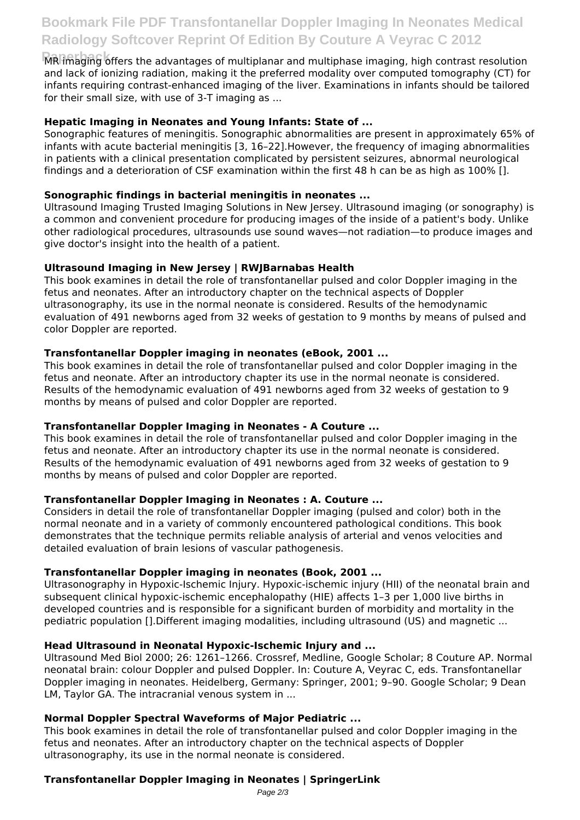## **Bookmark File PDF Transfontanellar Doppler Imaging In Neonates Medical Radiology Softcover Reprint Of Edition By Couture A Veyrac C 2012**

**Paperback** MR imaging offers the advantages of multiplanar and multiphase imaging, high contrast resolution and lack of ionizing radiation, making it the preferred modality over computed tomography (CT) for infants requiring contrast-enhanced imaging of the liver. Examinations in infants should be tailored for their small size, with use of 3-T imaging as ...

#### **Hepatic Imaging in Neonates and Young Infants: State of ...**

Sonographic features of meningitis. Sonographic abnormalities are present in approximately 65% of infants with acute bacterial meningitis [3, 16–22].However, the frequency of imaging abnormalities in patients with a clinical presentation complicated by persistent seizures, abnormal neurological findings and a deterioration of CSF examination within the first 48 h can be as high as 100% [].

#### **Sonographic findings in bacterial meningitis in neonates ...**

Ultrasound Imaging Trusted Imaging Solutions in New Jersey. Ultrasound imaging (or sonography) is a common and convenient procedure for producing images of the inside of a patient's body. Unlike other radiological procedures, ultrasounds use sound waves—not radiation—to produce images and give doctor's insight into the health of a patient.

#### **Ultrasound Imaging in New Jersey | RWJBarnabas Health**

This book examines in detail the role of transfontanellar pulsed and color Doppler imaging in the fetus and neonates. After an introductory chapter on the technical aspects of Doppler ultrasonography, its use in the normal neonate is considered. Results of the hemodynamic evaluation of 491 newborns aged from 32 weeks of gestation to 9 months by means of pulsed and color Doppler are reported.

#### **Transfontanellar Doppler imaging in neonates (eBook, 2001 ...**

This book examines in detail the role of transfontanellar pulsed and color Doppler imaging in the fetus and neonate. After an introductory chapter its use in the normal neonate is considered. Results of the hemodynamic evaluation of 491 newborns aged from 32 weeks of gestation to 9 months by means of pulsed and color Doppler are reported.

#### **Transfontanellar Doppler Imaging in Neonates - A Couture ...**

This book examines in detail the role of transfontanellar pulsed and color Doppler imaging in the fetus and neonate. After an introductory chapter its use in the normal neonate is considered. Results of the hemodynamic evaluation of 491 newborns aged from 32 weeks of gestation to 9 months by means of pulsed and color Doppler are reported.

#### **Transfontanellar Doppler Imaging in Neonates : A. Couture ...**

Considers in detail the role of transfontanellar Doppler imaging (pulsed and color) both in the normal neonate and in a variety of commonly encountered pathological conditions. This book demonstrates that the technique permits reliable analysis of arterial and venos velocities and detailed evaluation of brain lesions of vascular pathogenesis.

#### **Transfontanellar Doppler imaging in neonates (Book, 2001 ...**

Ultrasonography in Hypoxic-Ischemic Injury. Hypoxic-ischemic injury (HII) of the neonatal brain and subsequent clinical hypoxic-ischemic encephalopathy (HIE) affects 1–3 per 1,000 live births in developed countries and is responsible for a significant burden of morbidity and mortality in the pediatric population [].Different imaging modalities, including ultrasound (US) and magnetic ...

#### **Head Ultrasound in Neonatal Hypoxic-Ischemic Injury and ...**

Ultrasound Med Biol 2000; 26: 1261–1266. Crossref, Medline, Google Scholar; 8 Couture AP. Normal neonatal brain: colour Doppler and pulsed Doppler. In: Couture A, Veyrac C, eds. Transfontanellar Doppler imaging in neonates. Heidelberg, Germany: Springer, 2001; 9–90. Google Scholar; 9 Dean LM, Taylor GA. The intracranial venous system in ...

#### **Normal Doppler Spectral Waveforms of Major Pediatric ...**

This book examines in detail the role of transfontanellar pulsed and color Doppler imaging in the fetus and neonates. After an introductory chapter on the technical aspects of Doppler ultrasonography, its use in the normal neonate is considered.

### **Transfontanellar Doppler Imaging in Neonates | SpringerLink**